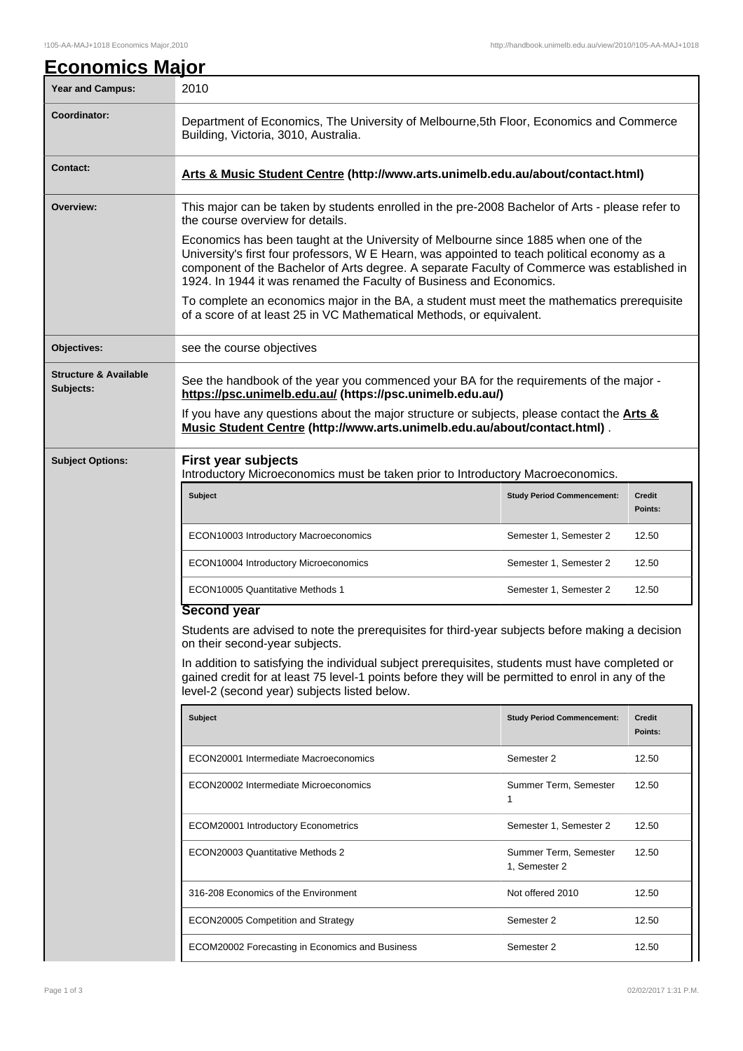| <u>Economics Major</u>                        |                                                                                                                                                                                                                                                                                                                                                                                                                                                                                                                                                                                                                                                                        |                                        |                          |  |  |
|-----------------------------------------------|------------------------------------------------------------------------------------------------------------------------------------------------------------------------------------------------------------------------------------------------------------------------------------------------------------------------------------------------------------------------------------------------------------------------------------------------------------------------------------------------------------------------------------------------------------------------------------------------------------------------------------------------------------------------|----------------------------------------|--------------------------|--|--|
| <b>Year and Campus:</b>                       | 2010                                                                                                                                                                                                                                                                                                                                                                                                                                                                                                                                                                                                                                                                   |                                        |                          |  |  |
| Coordinator:                                  | Department of Economics, The University of Melbourne, 5th Floor, Economics and Commerce<br>Building, Victoria, 3010, Australia.                                                                                                                                                                                                                                                                                                                                                                                                                                                                                                                                        |                                        |                          |  |  |
| <b>Contact:</b>                               | Arts & Music Student Centre (http://www.arts.unimelb.edu.au/about/contact.html)                                                                                                                                                                                                                                                                                                                                                                                                                                                                                                                                                                                        |                                        |                          |  |  |
| Overview:                                     | This major can be taken by students enrolled in the pre-2008 Bachelor of Arts - please refer to<br>the course overview for details.<br>Economics has been taught at the University of Melbourne since 1885 when one of the<br>University's first four professors, W E Hearn, was appointed to teach political economy as a<br>component of the Bachelor of Arts degree. A separate Faculty of Commerce was established in<br>1924. In 1944 it was renamed the Faculty of Business and Economics.<br>To complete an economics major in the BA, a student must meet the mathematics prerequisite<br>of a score of at least 25 in VC Mathematical Methods, or equivalent. |                                        |                          |  |  |
| Objectives:                                   | see the course objectives                                                                                                                                                                                                                                                                                                                                                                                                                                                                                                                                                                                                                                              |                                        |                          |  |  |
| <b>Structure &amp; Available</b><br>Subjects: | See the handbook of the year you commenced your BA for the requirements of the major -<br>https://psc.unimelb.edu.au/ (https://psc.unimelb.edu.au/)<br>If you have any questions about the major structure or subjects, please contact the <b>Arts &amp;</b><br>Music Student Centre (http://www.arts.unimelb.edu.au/about/contact.html).                                                                                                                                                                                                                                                                                                                              |                                        |                          |  |  |
| <b>Subject Options:</b>                       | <b>First year subjects</b><br>Introductory Microeconomics must be taken prior to Introductory Macroeconomics.                                                                                                                                                                                                                                                                                                                                                                                                                                                                                                                                                          |                                        |                          |  |  |
|                                               | <b>Subject</b>                                                                                                                                                                                                                                                                                                                                                                                                                                                                                                                                                                                                                                                         | <b>Study Period Commencement:</b>      | <b>Credit</b><br>Points: |  |  |
|                                               | ECON10003 Introductory Macroeconomics                                                                                                                                                                                                                                                                                                                                                                                                                                                                                                                                                                                                                                  | Semester 1, Semester 2                 | 12.50                    |  |  |
|                                               | ECON10004 Introductory Microeconomics                                                                                                                                                                                                                                                                                                                                                                                                                                                                                                                                                                                                                                  | Semester 1, Semester 2                 | 12.50                    |  |  |
|                                               | <b>ECON10005 Quantitative Methods 1</b>                                                                                                                                                                                                                                                                                                                                                                                                                                                                                                                                                                                                                                | Semester 1, Semester 2                 | 12.50                    |  |  |
|                                               | <b>Second year</b>                                                                                                                                                                                                                                                                                                                                                                                                                                                                                                                                                                                                                                                     |                                        |                          |  |  |
|                                               | Students are advised to note the prerequisites for third-year subjects before making a decision<br>on their second-year subjects.<br>In addition to satisfying the individual subject prerequisites, students must have completed or<br>gained credit for at least 75 level-1 points before they will be permitted to enrol in any of the<br>level-2 (second year) subjects listed below.                                                                                                                                                                                                                                                                              |                                        |                          |  |  |
|                                               | <b>Subject</b>                                                                                                                                                                                                                                                                                                                                                                                                                                                                                                                                                                                                                                                         | <b>Study Period Commencement:</b>      | Credit<br>Points:        |  |  |
|                                               | ECON20001 Intermediate Macroeconomics                                                                                                                                                                                                                                                                                                                                                                                                                                                                                                                                                                                                                                  | Semester 2                             | 12.50                    |  |  |
|                                               | ECON20002 Intermediate Microeconomics                                                                                                                                                                                                                                                                                                                                                                                                                                                                                                                                                                                                                                  | Summer Term, Semester<br>1             | 12.50                    |  |  |
|                                               | ECOM20001 Introductory Econometrics                                                                                                                                                                                                                                                                                                                                                                                                                                                                                                                                                                                                                                    | Semester 1, Semester 2                 | 12.50                    |  |  |
|                                               | ECON20003 Quantitative Methods 2                                                                                                                                                                                                                                                                                                                                                                                                                                                                                                                                                                                                                                       | Summer Term, Semester<br>1, Semester 2 | 12.50                    |  |  |
|                                               | 316-208 Economics of the Environment                                                                                                                                                                                                                                                                                                                                                                                                                                                                                                                                                                                                                                   | Not offered 2010                       | 12.50                    |  |  |
|                                               | ECON20005 Competition and Strategy                                                                                                                                                                                                                                                                                                                                                                                                                                                                                                                                                                                                                                     | Semester 2                             | 12.50                    |  |  |
|                                               | ECOM20002 Forecasting in Economics and Business                                                                                                                                                                                                                                                                                                                                                                                                                                                                                                                                                                                                                        | Semester 2                             | 12.50                    |  |  |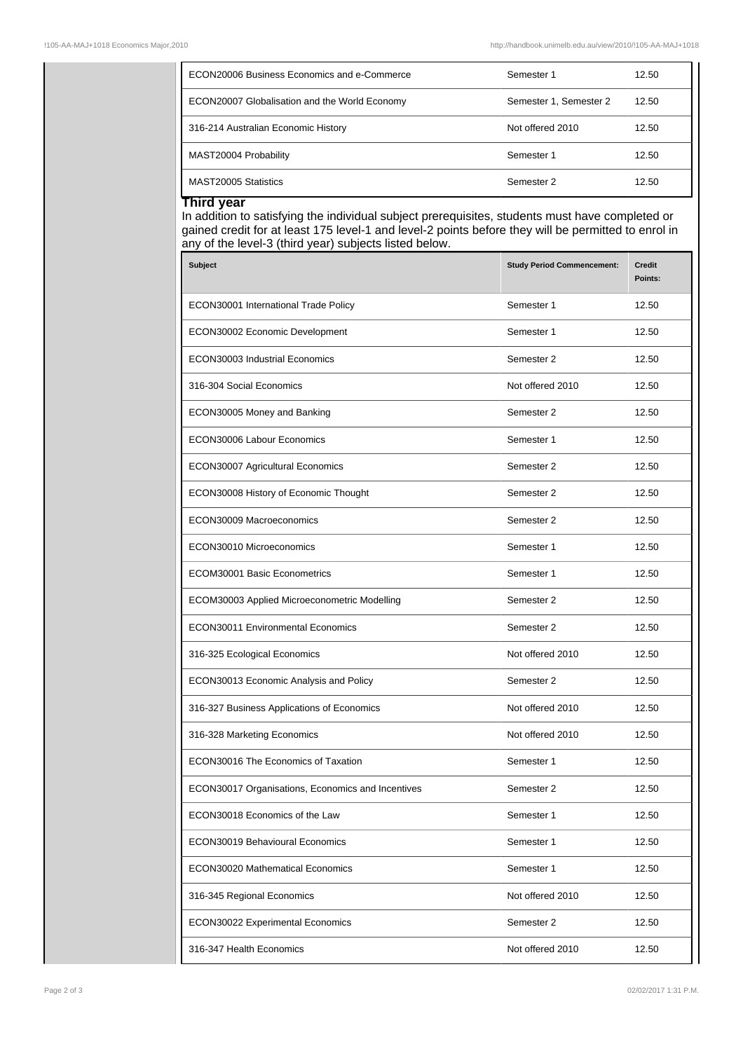|  | ECON20006 Business Economics and e-Commerce   | Semester 1             | 12.50 |
|--|-----------------------------------------------|------------------------|-------|
|  | ECON20007 Globalisation and the World Economy | Semester 1, Semester 2 | 12.50 |
|  | 316-214 Australian Economic History           | Not offered 2010       | 12.50 |
|  | MAST20004 Probability                         | Semester 1             | 12.50 |
|  | MAST20005 Statistics                          | Semester 2             | 12.50 |

## **Third year**

In addition to satisfying the individual subject prerequisites, students must have completed or gained credit for at least 175 level-1 and level-2 points before they will be permitted to enrol in any of the level-3 (third year) subjects listed below.

| <b>Subject</b>                                    | <b>Study Period Commencement:</b> | <b>Credit</b><br>Points: |
|---------------------------------------------------|-----------------------------------|--------------------------|
| ECON30001 International Trade Policy              | Semester 1                        | 12.50                    |
| ECON30002 Economic Development                    | Semester 1                        | 12.50                    |
| ECON30003 Industrial Economics                    | Semester 2                        | 12.50                    |
| 316-304 Social Economics                          | Not offered 2010                  | 12.50                    |
| ECON30005 Money and Banking                       | Semester 2                        | 12.50                    |
| ECON30006 Labour Economics                        | Semester 1                        | 12.50                    |
| ECON30007 Agricultural Economics                  | Semester 2                        | 12.50                    |
| ECON30008 History of Economic Thought             | Semester 2                        | 12.50                    |
| ECON30009 Macroeconomics                          | Semester 2                        | 12.50                    |
| ECON30010 Microeconomics                          | Semester 1                        | 12.50                    |
| ECOM30001 Basic Econometrics                      | Semester 1                        | 12.50                    |
| ECOM30003 Applied Microeconometric Modelling      | Semester 2                        | 12.50                    |
| <b>ECON30011 Environmental Economics</b>          | Semester 2                        | 12.50                    |
| 316-325 Ecological Economics                      | Not offered 2010                  | 12.50                    |
| ECON30013 Economic Analysis and Policy            | Semester 2                        | 12.50                    |
| 316-327 Business Applications of Economics        | Not offered 2010                  | 12.50                    |
| 316-328 Marketing Economics                       | Not offered 2010                  | 12.50                    |
| ECON30016 The Economics of Taxation               | Semester 1                        | 12.50                    |
| ECON30017 Organisations, Economics and Incentives | Semester 2                        | 12.50                    |
| ECON30018 Economics of the Law                    | Semester 1                        | 12.50                    |
| ECON30019 Behavioural Economics                   | Semester 1                        | 12.50                    |
| ECON30020 Mathematical Economics                  | Semester 1                        | 12.50                    |
| 316-345 Regional Economics                        | Not offered 2010                  | 12.50                    |
| ECON30022 Experimental Economics                  | Semester 2                        | 12.50                    |
| 316-347 Health Economics                          | Not offered 2010                  | 12.50                    |